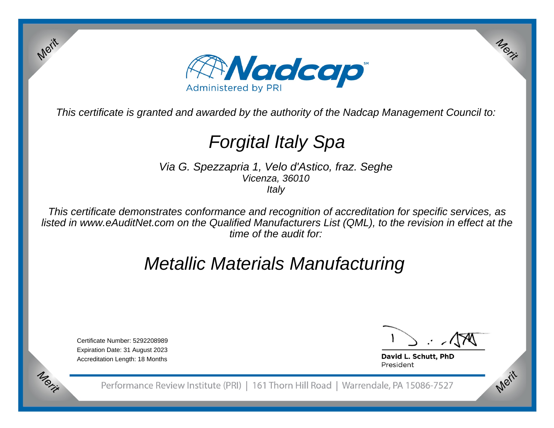

This certificate is granted and awarded by the authority of the Nadcap Management Council to:

# Forgital Italy Spa

Via G. Spezzapria 1, Velo d'Astico, fraz. SegheVicenza, 36010**Italy** 

This certificate demonstrates conformance and recognition of accreditation for specific services, as listed in www.eAuditNet.com on the Qualified Manufacturers List (QML), to the revision in effect at thetime of the audit for:

## Metallic Materials Manufacturing

Certificate Number: 5292208989 Expiration Date: 31 August 2023Accreditation Length: 18 Months

Merit

Merit

Merit

David L. Schutt, PhD President

Performance Review Institute (PRI) | 161 Thorn Hill Road | Warrendale, PA 15086-7527